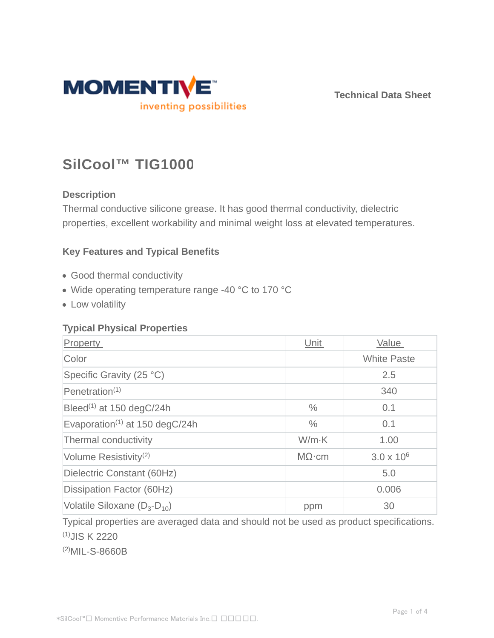

**Technical Data Sheet**

# **SilCool™ TIG1000**

## **Description**

Thermal conductive silicone grease. It has good thermal conductivity, dielectric properties, excellent workability and minimal weight loss at elevated temperatures.

## **Key Features and Typical Benefits**

- Good thermal conductivity
- Wide operating temperature range -40 °C to 170 °C
- Low volatility

### **Typical Physical Properties**

| Property                                                | Unit          | Value               |
|---------------------------------------------------------|---------------|---------------------|
| Color                                                   |               | <b>White Paste</b>  |
| Specific Gravity (25 °C)                                |               | 2.5                 |
| Penetration $(1)$                                       |               | 340                 |
| Bleed <sup>(1)</sup> at 150 degC/24h                    | $\frac{0}{0}$ | 0.1                 |
| Evaporation <sup><math>(1)</math></sup> at 150 degC/24h | $\frac{0}{0}$ | 0.1                 |
| Thermal conductivity                                    | $W/m-K$       | 1.00                |
| Volume Resistivity <sup>(2)</sup>                       | $M\Omega$ ·cm | $3.0 \times 10^{6}$ |
| Dielectric Constant (60Hz)                              |               | 5.0                 |
| Dissipation Factor (60Hz)                               |               | 0.006               |
| Volatile Siloxane $(D_3-D_{10})$                        | ppm           | 30                  |

Typical properties are averaged data and should not be used as product specifications. (1)JIS K 2220

(2)MIL-S-8660B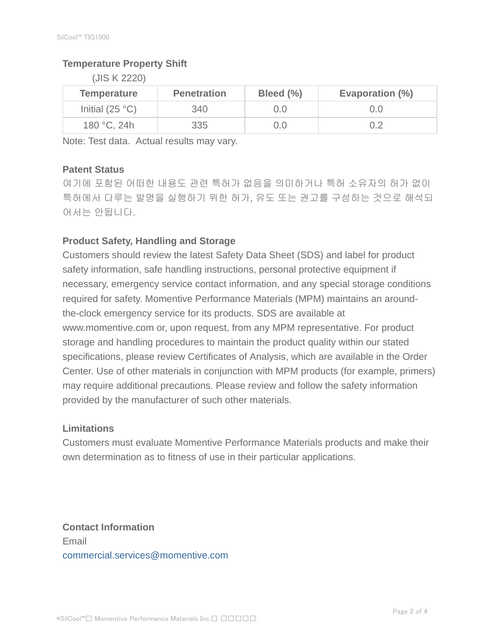## **Temperature Property Shift**

(JIS K 2220)

| <b>Temperature</b> | <b>Penetration</b> | Bleed (%) | Evaporation (%) |
|--------------------|--------------------|-----------|-----------------|
| Initial $(25 °C)$  | 340                |           | 0.0             |
| 180 °C, 24h        | 335                |           | 0.2             |

Note: Test data. Actual results may vary.

### **Patent Status**

여기에 포함된 어떠한 내용도 관련 특허가 없음을 의미하거나 특허 소유자의 허가 없이 특허에서 다루는 발명을 실행하기 위한 허가, 유도 또는 권고를 구성하는 것으로 해석되 어서는 안됩니다.

## **Product Safety, Handling and Storage**

Customers should review the latest Safety Data Sheet (SDS) and label for product safety information, safe handling instructions, personal protective equipment if necessary, emergency service contact information, and any special storage conditions required for safety. Momentive Performance Materials (MPM) maintains an aroundthe-clock emergency service for its products. SDS are available at www.momentive.com or, upon request, from any MPM representative. For product storage and handling procedures to maintain the product quality within our stated specifications, please review Certificates of Analysis, which are available in the Order Center. Use of other materials in conjunction with MPM products (for example, primers) may require additional precautions. Please review and follow the safety information provided by the manufacturer of such other materials.

### **Limitations**

Customers must evaluate Momentive Performance Materials products and make their own determination as to fitness of use in their particular applications.

**Contact Information** Email commercial.services@momentive.com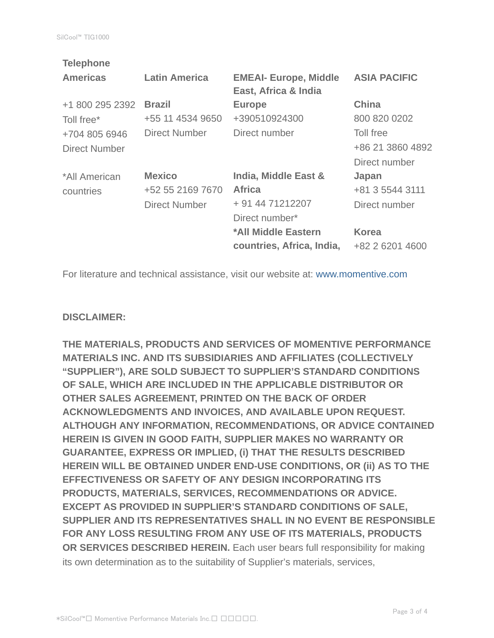| <b>Telephone</b>     |                      |                              |                     |
|----------------------|----------------------|------------------------------|---------------------|
| <b>Americas</b>      | <b>Latin America</b> | <b>EMEAI- Europe, Middle</b> | <b>ASIA PACIFIC</b> |
|                      |                      | East, Africa & India         |                     |
| +1 800 295 2392      | <b>Brazil</b>        | <b>Europe</b>                | <b>China</b>        |
| Toll free*           | +55 11 4534 9650     | +390510924300                | 800 820 0202        |
| +704 805 6946        | <b>Direct Number</b> | Direct number                | Toll free           |
| <b>Direct Number</b> |                      |                              | +86 21 3860 4892    |
|                      |                      |                              | Direct number       |
| *All American        | <b>Mexico</b>        | India, Middle East &         | Japan               |
| countries            | +52 55 2169 7670     | <b>Africa</b>                | +81 3 5544 3111     |
|                      | <b>Direct Number</b> | + 91 44 71212207             | Direct number       |
|                      |                      | Direct number*               |                     |
|                      |                      | *All Middle Eastern          | <b>Korea</b>        |
|                      |                      | countries, Africa, India,    | +82 2 6201 4600     |
|                      |                      |                              |                     |

For literature and technical assistance, visit our website at: www.momentive.com

#### **DISCLAIMER:**

**THE MATERIALS, PRODUCTS AND SERVICES OF MOMENTIVE PERFORMANCE MATERIALS INC. AND ITS SUBSIDIARIES AND AFFILIATES (COLLECTIVELY "SUPPLIER"), ARE SOLD SUBJECT TO SUPPLIER'S STANDARD CONDITIONS OF SALE, WHICH ARE INCLUDED IN THE APPLICABLE DISTRIBUTOR OR OTHER SALES AGREEMENT, PRINTED ON THE BACK OF ORDER ACKNOWLEDGMENTS AND INVOICES, AND AVAILABLE UPON REQUEST. ALTHOUGH ANY INFORMATION, RECOMMENDATIONS, OR ADVICE CONTAINED HEREIN IS GIVEN IN GOOD FAITH, SUPPLIER MAKES NO WARRANTY OR GUARANTEE, EXPRESS OR IMPLIED, (i) THAT THE RESULTS DESCRIBED HEREIN WILL BE OBTAINED UNDER END-USE CONDITIONS, OR (ii) AS TO THE EFFECTIVENESS OR SAFETY OF ANY DESIGN INCORPORATING ITS PRODUCTS, MATERIALS, SERVICES, RECOMMENDATIONS OR ADVICE. EXCEPT AS PROVIDED IN SUPPLIER'S STANDARD CONDITIONS OF SALE, SUPPLIER AND ITS REPRESENTATIVES SHALL IN NO EVENT BE RESPONSIBLE FOR ANY LOSS RESULTING FROM ANY USE OF ITS MATERIALS, PRODUCTS OR SERVICES DESCRIBED HEREIN.** Each user bears full responsibility for making its own determination as to the suitability of Supplier's materials, services,